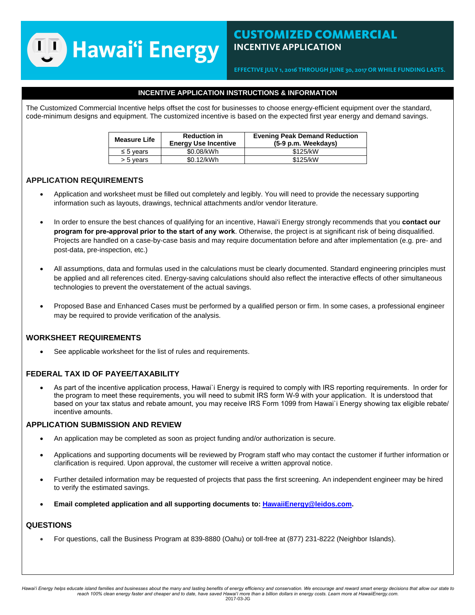## **TJ Hawai'i Energy**

## CUSTOMIZED COMMERCIAL **INCENTIVE APPLICATION**

**EFFECTIVE JULY 1, 201***6* **THROUGH JUNE 30, 201***7* **OR WHILE FUNDING LASTS.** 

## **INCENTIVE APPLICATION INSTRUCTIONS & INFORMATION**

The Customized Commercial Incentive helps offset the cost for businesses to choose energy-efficient equipment over the standard, code-minimum designs and equipment. The customized incentive is based on the expected first year energy and demand savings.

| <b>Measure Life</b> | <b>Reduction in</b><br><b>Energy Use Incentive</b> | <b>Evening Peak Demand Reduction</b><br>(5-9 p.m. Weekdavs) |  |  |  |
|---------------------|----------------------------------------------------|-------------------------------------------------------------|--|--|--|
| $\leq$ 5 vears      | \$0.08/kWh                                         | \$125/kW                                                    |  |  |  |
| > 5 years           | \$0.12/kWh                                         | \$125/kW                                                    |  |  |  |

## **APPLICATION REQUIREMENTS**

- Application and worksheet must be filled out completely and legibly. You will need to provide the necessary supporting information such as layouts, drawings, technical attachments and/or vendor literature.
- In order to ensure the best chances of qualifying for an incentive, Hawai'i Energy strongly recommends that you **contact our program for pre-approval prior to the start of any work**. Otherwise, the project is at significant risk of being disqualified. Projects are handled on a case-by-case basis and may require documentation before and after implementation (e.g. pre- and post-data, pre-inspection, etc.)
- All assumptions, data and formulas used in the calculations must be clearly documented. Standard engineering principles must be applied and all references cited. Energy-saving calculations should also reflect the interactive effects of other simultaneous technologies to prevent the overstatement of the actual savings.
- Proposed Base and Enhanced Cases must be performed by a qualified person or firm. In some cases, a professional engineer may be required to provide verification of the analysis.

## **WORKSHEET REQUIREMENTS**

See applicable worksheet for the list of rules and requirements.

## **FEDERAL TAX ID OF PAYEE/TAXABILITY**

• As part of the incentive application process, Hawai`i Energy is required to comply with IRS reporting requirements. In order for the program to meet these requirements, you will need to submit IRS form W-9 with your application. It is understood that based on your tax status and rebate amount, you may receive IRS Form 1099 from Hawai`i Energy showing tax eligible rebate/ incentive amounts.

## **APPLICATION SUBMISSION AND REVIEW**

- An application may be completed as soon as project funding and/or authorization is secure.
- Applications and supporting documents will be reviewed by Program staff who may contact the customer if further information or clarification is required. Upon approval, the customer will receive a written approval notice.
- Further detailed information may be requested of projects that pass the first screening. An independent engineer may be hired to verify the estimated savings.
- **Email completed application and all supporting documents to[: HawaiiEnergy@leidos.com.](mailto:HawaiiEnergy@leidos.com)**

## **QUESTIONS**

• For questions, call the Business Program at 839-8880 (Oahu) or toll-free at (877) 231-8222 (Neighbor Islands).

Hawai'i Energy helps educate island families and businesses about the many and lasting benefits of energy efficiency and conservation. We encourage and reward smart energy decisions that allow our state to *reach 100% clean energy faster and cheaper and to date, have saved Hawai'i more than a billion dollars in energy costs. Learn more at HawaiiEnergy.com.* 2017-03-JG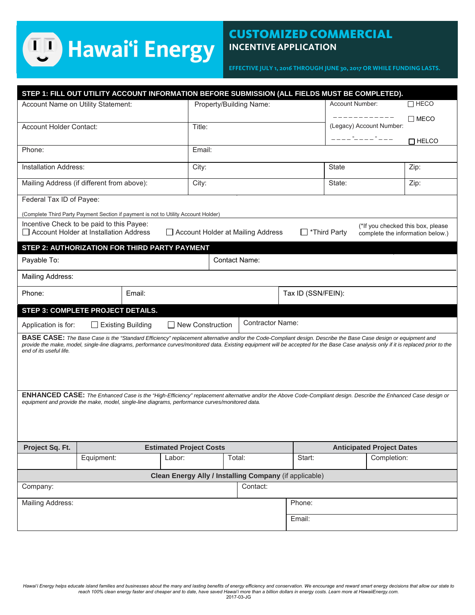# **ED** Hawai'i Energy

## CUSTOMIZED COMMERCIAL **INCENTIVE APPLICATION**

**EFFECTIVE JULY 1, 201***6* **THROUGH JUNE 30, 201***7* **OR WHILE FUNDING LASTS.** 

|                                                                                                                                                                                                                                                                                                                                                                                          | STEP 1: FILL OUT UTILITY ACCOUNT INFORMATION BEFORE SUBMISSION (ALL FIELDS MUST BE COMPLETED). |        |                         |                                  |                    |                          |                                         |             |                |  |
|------------------------------------------------------------------------------------------------------------------------------------------------------------------------------------------------------------------------------------------------------------------------------------------------------------------------------------------------------------------------------------------|------------------------------------------------------------------------------------------------|--------|-------------------------|----------------------------------|--------------------|--------------------------|-----------------------------------------|-------------|----------------|--|
| Account Name on Utility Statement:                                                                                                                                                                                                                                                                                                                                                       |                                                                                                |        | Property/Building Name: |                                  |                    | Account Number:          |                                         | $\Box$ HECO |                |  |
|                                                                                                                                                                                                                                                                                                                                                                                          |                                                                                                |        |                         |                                  |                    |                          |                                         |             | $\square$ MECO |  |
| Account Holder Contact:                                                                                                                                                                                                                                                                                                                                                                  |                                                                                                |        | Title:                  |                                  |                    | (Legacy) Account Number: |                                         |             |                |  |
|                                                                                                                                                                                                                                                                                                                                                                                          |                                                                                                |        |                         |                                  |                    |                          | ____ <sup>-</sup> ____ <sup>-</sup> ___ |             | $\Box$ HELCO   |  |
| Phone:                                                                                                                                                                                                                                                                                                                                                                                   |                                                                                                |        | Email:                  |                                  |                    |                          |                                         |             |                |  |
| <b>Installation Address:</b>                                                                                                                                                                                                                                                                                                                                                             |                                                                                                |        | City:                   |                                  |                    |                          | State                                   | Zip:        |                |  |
| Mailing Address (if different from above):                                                                                                                                                                                                                                                                                                                                               |                                                                                                |        | City:                   |                                  |                    |                          | State:                                  |             | Zip:           |  |
| Federal Tax ID of Payee:                                                                                                                                                                                                                                                                                                                                                                 |                                                                                                |        |                         |                                  |                    |                          |                                         |             |                |  |
|                                                                                                                                                                                                                                                                                                                                                                                          | (Complete Third Party Payment Section if payment is not to Utility Account Holder)             |        |                         |                                  |                    |                          |                                         |             |                |  |
| Incentive Check to be paid to this Payee:<br>(*If you checked this box, please<br>Account Holder at Installation Address<br>Account Holder at Mailing Address<br>*Third Party<br>complete the information below.)                                                                                                                                                                        |                                                                                                |        |                         |                                  |                    |                          |                                         |             |                |  |
|                                                                                                                                                                                                                                                                                                                                                                                          | STEP 2: AUTHORIZATION FOR THIRD PARTY PAYMENT                                                  |        |                         |                                  |                    |                          |                                         |             |                |  |
| <b>Contact Name:</b><br>Payable To:                                                                                                                                                                                                                                                                                                                                                      |                                                                                                |        |                         |                                  |                    |                          |                                         |             |                |  |
| Mailing Address:                                                                                                                                                                                                                                                                                                                                                                         |                                                                                                |        |                         |                                  |                    |                          |                                         |             |                |  |
| Phone:<br>Email:                                                                                                                                                                                                                                                                                                                                                                         |                                                                                                |        |                         |                                  | Tax ID (SSN/FEIN): |                          |                                         |             |                |  |
| STEP 3: COMPLETE PROJECT DETAILS.                                                                                                                                                                                                                                                                                                                                                        |                                                                                                |        |                         |                                  |                    |                          |                                         |             |                |  |
| Contractor Name:<br>□ New Construction<br>$\Box$ Existing Building<br>Application is for:                                                                                                                                                                                                                                                                                                |                                                                                                |        |                         |                                  |                    |                          |                                         |             |                |  |
| <b>BASE CASE:</b> The Base Case is the "Standard Efficiency" replacement alternative and/or the Code-Compliant design. Describe the Base Case design or equipment and<br>provide the make, model, single-line diagrams, performance curves/monitored data. Existing equipment will be accepted for the Base Case analysis only if it is replaced prior to the<br>end of its useful life. |                                                                                                |        |                         |                                  |                    |                          |                                         |             |                |  |
| <b>ENHANCED CASE:</b> The Enhanced Case is the "High-Efficiency" replacement alternative and/or the Above Code-Compliant design. Describe the Enhanced Case design or<br>equipment and provide the make, model, single-line diagrams, performance curves/monitored data.                                                                                                                 |                                                                                                |        |                         |                                  |                    |                          |                                         |             |                |  |
|                                                                                                                                                                                                                                                                                                                                                                                          |                                                                                                |        |                         |                                  |                    |                          |                                         |             |                |  |
|                                                                                                                                                                                                                                                                                                                                                                                          |                                                                                                |        |                         |                                  |                    |                          |                                         |             |                |  |
| Project Sq. Ft.                                                                                                                                                                                                                                                                                                                                                                          | <b>Estimated Project Costs</b>                                                                 |        |                         | <b>Anticipated Project Dates</b> |                    |                          |                                         |             |                |  |
|                                                                                                                                                                                                                                                                                                                                                                                          | Equipment:                                                                                     | Labor: |                         | Total:                           |                    | Start:                   |                                         | Completion: |                |  |
| Clean Energy Ally / Installing Company (if applicable)                                                                                                                                                                                                                                                                                                                                   |                                                                                                |        |                         |                                  |                    |                          |                                         |             |                |  |
| Company:                                                                                                                                                                                                                                                                                                                                                                                 |                                                                                                |        |                         | Contact:                         |                    |                          |                                         |             |                |  |
| Mailing Address:                                                                                                                                                                                                                                                                                                                                                                         |                                                                                                |        |                         |                                  |                    | Phone:                   |                                         |             |                |  |
|                                                                                                                                                                                                                                                                                                                                                                                          |                                                                                                |        |                         |                                  |                    | Email:                   |                                         |             |                |  |
|                                                                                                                                                                                                                                                                                                                                                                                          |                                                                                                |        |                         |                                  |                    |                          |                                         |             |                |  |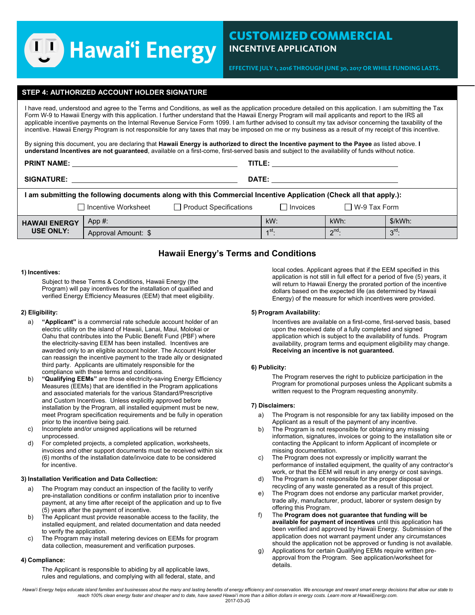# **Hawai'i Energy**

**EFFECTIVE JULY 1, 201***6* **THROUGH JUNE 30, 201***7* **OR WHILE FUNDING LASTS.** 

### **STEP 4: AUTHORIZED ACCOUNT HOLDER SIGNATURE**

I have read, understood and agree to the Terms and Conditions, as well as the application procedure detailed on this application. I am submitting the Tax Form W-9 to Hawaii Energy with this application. I further understand that the Hawaii Energy Program will mail applicants and report to the IRS all applicable incentive payments on the Internal Revenue Service Form 1099. I am further advised to consult my tax advisor concerning the taxability of the incentive. Hawaii Energy Program is not responsible for any taxes that may be imposed on me or my business as a result of my receipt of this incentive.

By signing this document, you are declaring that **Hawaii Energy is authorized to direct the Incentive payment to the Payee** as listed above. **I understand Incentives are not guaranteed**, available on a first-come, first-served basis and subject to the availability of funds without notice.

| <b>PRINT NAME:</b>                                                                                                |                       | TITLE:                        |                   |                          |         |  |  |  |
|-------------------------------------------------------------------------------------------------------------------|-----------------------|-------------------------------|-------------------|--------------------------|---------|--|--|--|
| <b>SIGNATURE:</b><br>DATE:                                                                                        |                       |                               |                   |                          |         |  |  |  |
| I am submitting the following documents along with this Commercial Incentive Application (Check all that apply.): |                       |                               |                   |                          |         |  |  |  |
|                                                                                                                   | □ Incentive Worksheet | $\Box$ Product Specifications | $\Box$ Invoices   | $\Box$ W-9 Tax Form      |         |  |  |  |
| <b>HAWAII ENERGY</b><br><b>USE ONLY:</b>                                                                          | App#:                 |                               | $kW$ :            | kWh:                     | \$/kWh: |  |  |  |
|                                                                                                                   | Approval Amount: \$   |                               | 4 <sup>St</sup> . | $\gamma$ <sup>nd</sup> . | $3rd$ : |  |  |  |

## **Hawaii Energy's Terms and Conditions**

#### **1) Incentives:**

Subject to these Terms & Conditions, Hawaii Energy (the Program) will pay incentives for the installation of qualified and verified Energy Efficiency Measures (EEM) that meet eligibility.

### **2) Eligibility:**

- a) **"Applicant"** is a commercial rate schedule account holder of an electric utility on the island of Hawaii, Lanai, Maui, Molokai or Oahu that contributes into the Public Benefit Fund (PBF) where the electricity-saving EEM has been installed. Incentives are awarded only to an eligible account holder. The Account Holder can reassign the incentive payment to the trade ally or designated third party. Applicants are ultimately responsible for the compliance with these terms and conditions.
- b) **"Qualifying EEMs"** are those electricity-saving Energy Efficiency Measures (EEMs) that are identified in the Program applications and associated materials for the various Standard/Prescriptive and Custom Incentives. Unless explicitly approved before installation by the Program, all installed equipment must be new, meet Program specification requirements and be fully in operation prior to the incentive being paid.
- c) Incomplete and/or unsigned applications will be returned unprocessed.
- d) For completed projects, a completed application, worksheets, invoices and other support documents must be received within six (6) months of the installation date/invoice date to be considered for incentive.

#### **3) Installation Verification and Data Collection:**

- a) The Program may conduct an inspection of the facility to verify pre-installation conditions or confirm installation prior to incentive payment, at any time after receipt of the application and up to five (5) years after the payment of incentive.
- b) The Applicant must provide reasonable access to the facility, the installed equipment, and related documentation and data needed to verify the application.
- c) The Program may install metering devices on EEMs for program data collection, measurement and verification purposes.

#### **4) Compliance:**

The Applicant is responsible to abiding by all applicable laws, rules and regulations, and complying with all federal, state, and

local codes. Applicant agrees that if the EEM specified in this application is not still in full effect for a period of five (5) years, it will return to Hawaii Energy the prorated portion of the incentive dollars based on the expected life (as determined by Hawaii Energy) of the measure for which incentives were provided.

#### **5) Program Availability:**

Incentives are available on a first-come, first-served basis, based upon the received date of a fully completed and signed application which is subject to the availability of funds. Program availability, program terms and equipment eligibility may change. **Receiving an incentive is not guaranteed.** 

#### **6) Publicity:**

The Program reserves the right to publicize participation in the Program for promotional purposes unless the Applicant submits a written request to the Program requesting anonymity.

#### **7) Disclaimers:**

- a) The Program is not responsible for any tax liability imposed on the Applicant as a result of the payment of any incentive.
- b) The Program is not responsible for obtaining any missing information, signatures, invoices or going to the installation site or contacting the Applicant to inform Applicant of incomplete or missing documentation.
- c) The Program does not expressly or implicitly warrant the performance of installed equipment, the quality of any contractor's work, or that the EEM will result in any energy or cost savings.
- d) The Program is not responsible for the proper disposal or recycling of any waste generated as a result of this project.
- e) The Program does not endorse any particular market provider, trade ally, manufacturer, product, laborer or system design by offering this Program.
- f) The **Program does not guarantee that funding will be available for payment of incentives** until this application has been verified and approved by Hawaii Energy. Submission of the application does not warrant payment under any circumstances should the application not be approved or funding is not available.
- g) Applications for certain Qualifying EEMs require written preapproval from the Program. See application/worksheet for details.

*Hawai'i Energy helps educate island families and businesses about the many and lasting benefits of energy efficiency and conservation. We encourage and reward smart energy decisions that allow our state to reach 100% clean energy faster and cheaper and to date, have saved Hawai'i more than a billion dollars in energy costs. Learn more at HawaiiEnergy.com.*